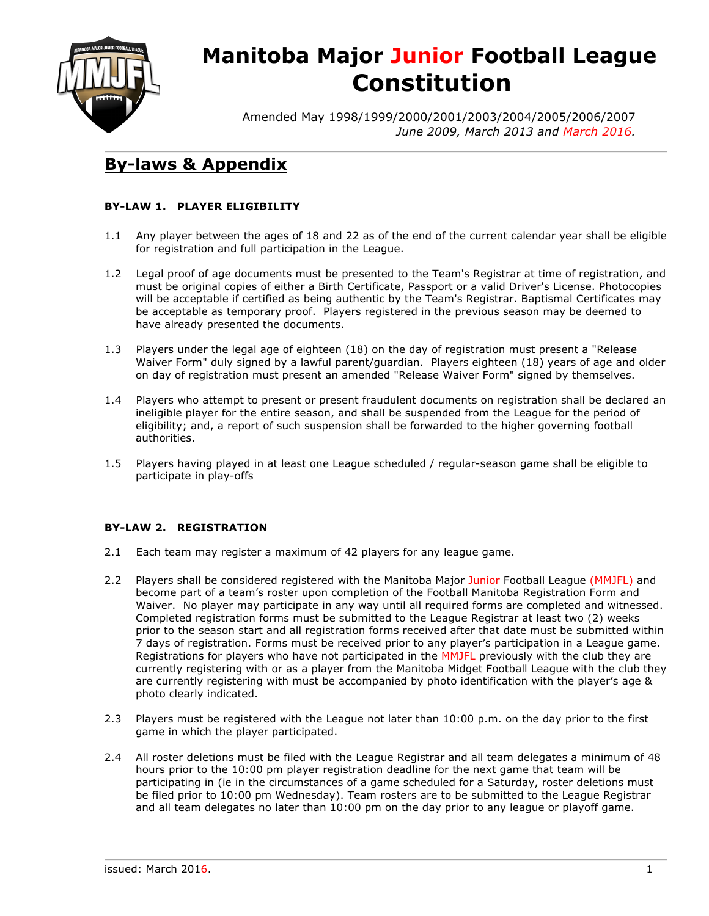

# **Manitoba Major Junior Football League Constitution**

Amended May 1998/1999/2000/2001/2003/2004/2005/2006/2007 *June 2009, March 2013 and March 2016.*

### **By-laws & Appendix**

#### **BY-LAW 1. PLAYER ELIGIBILITY**

- 1.1 Any player between the ages of 18 and 22 as of the end of the current calendar year shall be eligible for registration and full participation in the League.
- 1.2 Legal proof of age documents must be presented to the Team's Registrar at time of registration, and must be original copies of either a Birth Certificate, Passport or a valid Driver's License. Photocopies will be acceptable if certified as being authentic by the Team's Registrar. Baptismal Certificates may be acceptable as temporary proof. Players registered in the previous season may be deemed to have already presented the documents.
- 1.3 Players under the legal age of eighteen (18) on the day of registration must present a "Release Waiver Form" duly signed by a lawful parent/guardian. Players eighteen (18) years of age and older on day of registration must present an amended "Release Waiver Form" signed by themselves.
- 1.4 Players who attempt to present or present fraudulent documents on registration shall be declared an ineligible player for the entire season, and shall be suspended from the League for the period of eligibility; and, a report of such suspension shall be forwarded to the higher governing football authorities.
- 1.5 Players having played in at least one League scheduled / regular-season game shall be eligible to participate in play-offs

#### **BY-LAW 2. REGISTRATION**

- 2.1 Each team may register a maximum of 42 players for any league game.
- 2.2 Players shall be considered registered with the Manitoba Major Junior Football League (MMJFL) and become part of a team's roster upon completion of the Football Manitoba Registration Form and Waiver. No player may participate in any way until all required forms are completed and witnessed. Completed registration forms must be submitted to the League Registrar at least two (2) weeks prior to the season start and all registration forms received after that date must be submitted within 7 days of registration. Forms must be received prior to any player's participation in a League game. Registrations for players who have not participated in the MMJFL previously with the club they are currently registering with or as a player from the Manitoba Midget Football League with the club they are currently registering with must be accompanied by photo identification with the player's age & photo clearly indicated.
- 2.3 Players must be registered with the League not later than 10:00 p.m. on the day prior to the first game in which the player participated.
- 2.4 All roster deletions must be filed with the League Registrar and all team delegates a minimum of 48 hours prior to the 10:00 pm player registration deadline for the next game that team will be participating in (ie in the circumstances of a game scheduled for a Saturday, roster deletions must be filed prior to 10:00 pm Wednesday). Team rosters are to be submitted to the League Registrar and all team delegates no later than 10:00 pm on the day prior to any league or playoff game.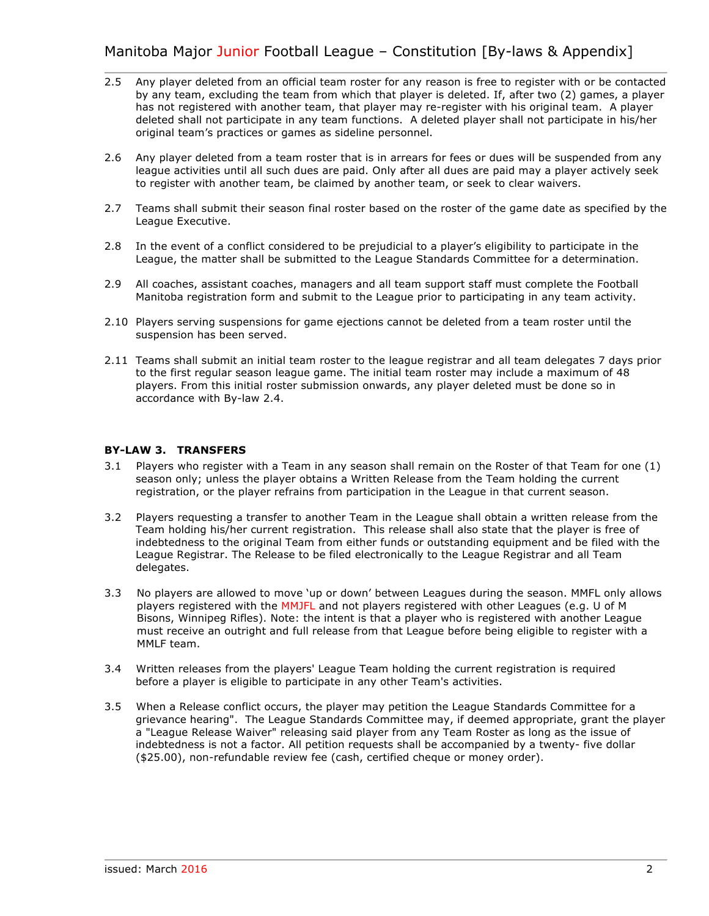- 2.5 Any player deleted from an official team roster for any reason is free to register with or be contacted by any team, excluding the team from which that player is deleted. If, after two (2) games, a player has not registered with another team, that player may re-register with his original team. A player deleted shall not participate in any team functions. A deleted player shall not participate in his/her original team's practices or games as sideline personnel.
- 2.6 Any player deleted from a team roster that is in arrears for fees or dues will be suspended from any league activities until all such dues are paid. Only after all dues are paid may a player actively seek to register with another team, be claimed by another team, or seek to clear waivers.
- 2.7 Teams shall submit their season final roster based on the roster of the game date as specified by the League Executive.
- 2.8 In the event of a conflict considered to be prejudicial to a player's eligibility to participate in the League, the matter shall be submitted to the League Standards Committee for a determination.
- 2.9 All coaches, assistant coaches, managers and all team support staff must complete the Football Manitoba registration form and submit to the League prior to participating in any team activity.
- 2.10 Players serving suspensions for game ejections cannot be deleted from a team roster until the suspension has been served.
- 2.11 Teams shall submit an initial team roster to the league registrar and all team delegates 7 days prior to the first regular season league game. The initial team roster may include a maximum of 48 players. From this initial roster submission onwards, any player deleted must be done so in accordance with By-law 2.4.

#### **BY-LAW 3. TRANSFERS**

- 3.1 Players who register with a Team in any season shall remain on the Roster of that Team for one (1) season only; unless the player obtains a Written Release from the Team holding the current registration, or the player refrains from participation in the League in that current season.
- 3.2 Players requesting a transfer to another Team in the League shall obtain a written release from the Team holding his/her current registration. This release shall also state that the player is free of indebtedness to the original Team from either funds or outstanding equipment and be filed with the League Registrar. The Release to be filed electronically to the League Registrar and all Team delegates.
- 3.3 No players are allowed to move 'up or down' between Leagues during the season. MMFL only allows players registered with the MMJFL and not players registered with other Leagues (e.g. U of M Bisons, Winnipeg Rifles). Note: the intent is that a player who is registered with another League must receive an outright and full release from that League before being eligible to register with a MMLF team.
- 3.4 Written releases from the players' League Team holding the current registration is required before a player is eligible to participate in any other Team's activities.
- 3.5 When a Release conflict occurs, the player may petition the League Standards Committee for a grievance hearing". The League Standards Committee may, if deemed appropriate, grant the player a "League Release Waiver" releasing said player from any Team Roster as long as the issue of indebtedness is not a factor. All petition requests shall be accompanied by a twenty- five dollar (\$25.00), non-refundable review fee (cash, certified cheque or money order).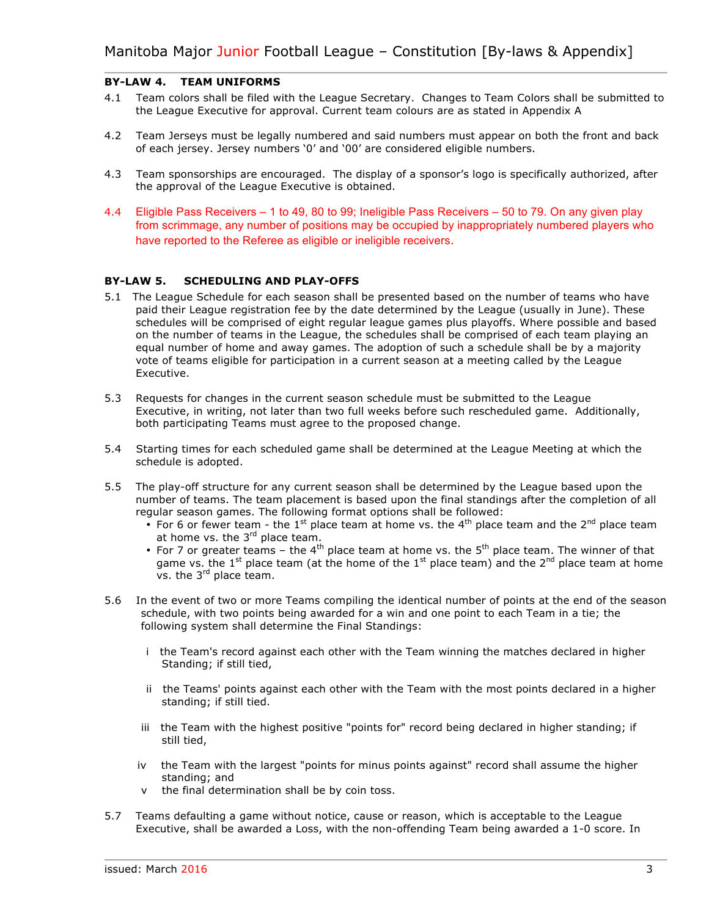#### **BY-LAW 4. TEAM UNIFORMS**

- 4.1 Team colors shall be filed with the League Secretary. Changes to Team Colors shall be submitted to the League Executive for approval. Current team colours are as stated in Appendix A
- 4.2 Team Jerseys must be legally numbered and said numbers must appear on both the front and back of each jersey. Jersey numbers '0' and '00' are considered eligible numbers.
- 4.3 Team sponsorships are encouraged. The display of a sponsor's logo is specifically authorized, after the approval of the League Executive is obtained.
- 4.4 Eligible Pass Receivers 1 to 49, 80 to 99; Ineligible Pass Receivers 50 to 79. On any given play from scrimmage, any number of positions may be occupied by inappropriately numbered players who have reported to the Referee as eligible or ineligible receivers.

#### **BY-LAW 5. SCHEDULING AND PLAY-OFFS**

- 5.1 The League Schedule for each season shall be presented based on the number of teams who have paid their League registration fee by the date determined by the League (usually in June). These schedules will be comprised of eight regular league games plus playoffs. Where possible and based on the number of teams in the League, the schedules shall be comprised of each team playing an equal number of home and away games. The adoption of such a schedule shall be by a majority vote of teams eligible for participation in a current season at a meeting called by the League Executive.
- 5.3 Requests for changes in the current season schedule must be submitted to the League Executive, in writing, not later than two full weeks before such rescheduled game. Additionally, both participating Teams must agree to the proposed change.
- 5.4 Starting times for each scheduled game shall be determined at the League Meeting at which the schedule is adopted.
- 5.5 The play-off structure for any current season shall be determined by the League based upon the number of teams. The team placement is based upon the final standings after the completion of all regular season games. The following format options shall be followed:
	- For 6 or fewer team the  $1<sup>st</sup>$  place team at home vs. the  $4<sup>th</sup>$  place team and the  $2<sup>nd</sup>$  place team at home vs. the  $3<sup>rd</sup>$  place team.
	- For 7 or greater teams the  $4<sup>th</sup>$  place team at home vs. the  $5<sup>th</sup>$  place team. The winner of that game vs. the 1<sup>st</sup> place team (at the home of the 1<sup>st</sup> place team) and the 2<sup>nd</sup> place team at home  $vs.$  the  $3<sup>rd</sup>$  place team.
- 5.6 In the event of two or more Teams compiling the identical number of points at the end of the season schedule, with two points being awarded for a win and one point to each Team in a tie; the following system shall determine the Final Standings:
	- i the Team's record against each other with the Team winning the matches declared in higher Standing; if still tied,
	- ii the Teams' points against each other with the Team with the most points declared in a higher standing; if still tied.
	- iii the Team with the highest positive "points for" record being declared in higher standing; if still tied,
	- iv the Team with the largest "points for minus points against" record shall assume the higher standing; and
	- v the final determination shall be by coin toss.
- 5.7 Teams defaulting a game without notice, cause or reason, which is acceptable to the League Executive, shall be awarded a Loss, with the non-offending Team being awarded a 1-0 score. In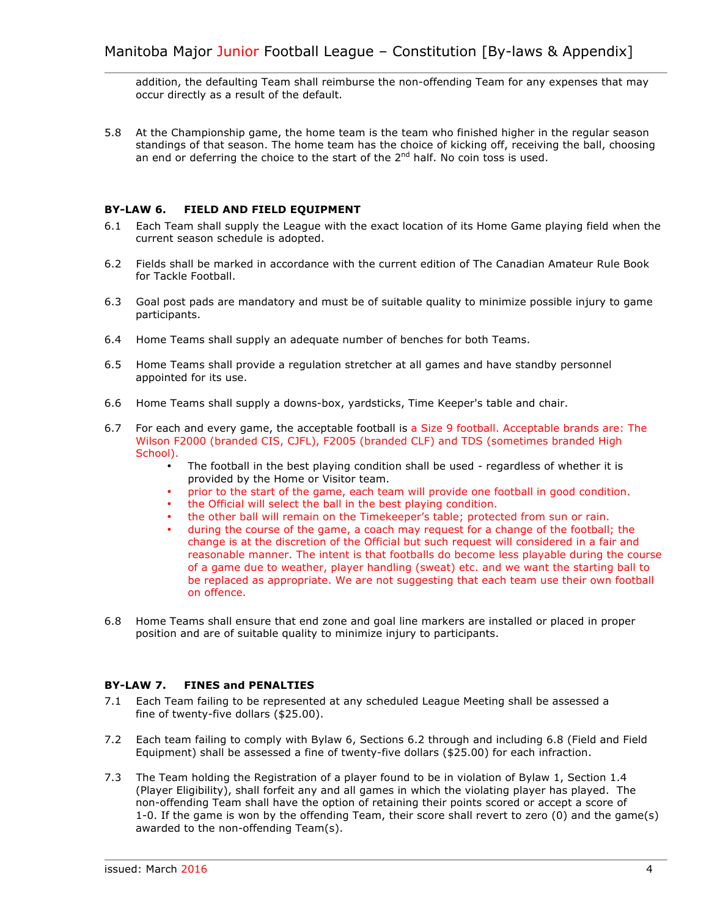addition, the defaulting Team shall reimburse the non-offending Team for any expenses that may occur directly as a result of the default.

5.8 At the Championship game, the home team is the team who finished higher in the regular season standings of that season. The home team has the choice of kicking off, receiving the ball, choosing an end or deferring the choice to the start of the 2<sup>nd</sup> half. No coin toss is used.

#### **BY-LAW 6. FIELD AND FIELD EQUIPMENT**

- 6.1 Each Team shall supply the League with the exact location of its Home Game playing field when the current season schedule is adopted.
- 6.2 Fields shall be marked in accordance with the current edition of The Canadian Amateur Rule Book for Tackle Football.
- 6.3 Goal post pads are mandatory and must be of suitable quality to minimize possible injury to game participants.
- 6.4 Home Teams shall supply an adequate number of benches for both Teams.
- 6.5 Home Teams shall provide a regulation stretcher at all games and have standby personnel appointed for its use.
- 6.6 Home Teams shall supply a downs-box, yardsticks, Time Keeper's table and chair.
- 6.7 For each and every game, the acceptable football is a Size 9 football. Acceptable brands are: The Wilson F2000 (branded CIS, CJFL), F2005 (branded CLF) and TDS (sometimes branded High School).
	- The football in the best playing condition shall be used regardless of whether it is provided by the Home or Visitor team.
	- prior to the start of the game, each team will provide one football in good condition.
	- the Official will select the ball in the best playing condition.
	- the other ball will remain on the Timekeeper's table; protected from sun or rain.
	- during the course of the game, a coach may request for a change of the football; the change is at the discretion of the Official but such request will considered in a fair and reasonable manner. The intent is that footballs do become less playable during the course of a game due to weather, player handling (sweat) etc. and we want the starting ball to be replaced as appropriate. We are not suggesting that each team use their own football on offence.
- 6.8 Home Teams shall ensure that end zone and goal line markers are installed or placed in proper position and are of suitable quality to minimize injury to participants.

#### **BY-LAW 7. FINES and PENALTIES**

- 7.1 Each Team failing to be represented at any scheduled League Meeting shall be assessed a fine of twenty-five dollars (\$25.00).
- 7.2 Each team failing to comply with Bylaw 6, Sections 6.2 through and including 6.8 (Field and Field Equipment) shall be assessed a fine of twenty-five dollars (\$25.00) for each infraction.
- 7.3 The Team holding the Registration of a player found to be in violation of Bylaw 1, Section 1.4 (Player Eligibility), shall forfeit any and all games in which the violating player has played. The non-offending Team shall have the option of retaining their points scored or accept a score of 1-0. If the game is won by the offending Team, their score shall revert to zero (0) and the game(s) awarded to the non-offending Team(s).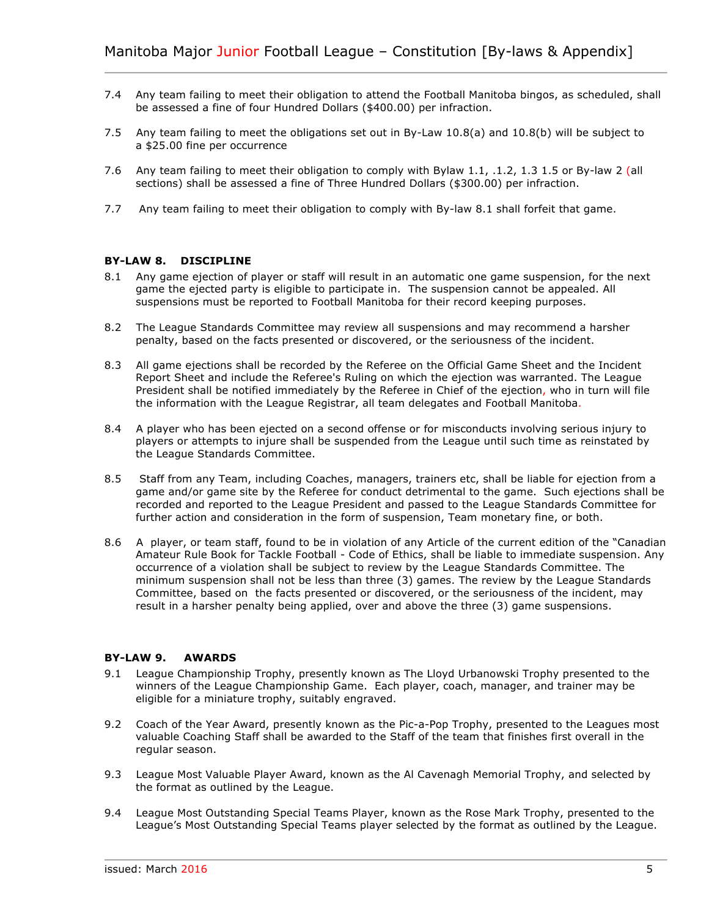- 7.4 Any team failing to meet their obligation to attend the Football Manitoba bingos, as scheduled, shall be assessed a fine of four Hundred Dollars (\$400.00) per infraction.
- 7.5 Any team failing to meet the obligations set out in By-Law 10.8(a) and 10.8(b) will be subject to a \$25.00 fine per occurrence
- 7.6 Any team failing to meet their obligation to comply with Bylaw 1.1, .1.2, 1.3 1.5 or By-law 2 (all sections) shall be assessed a fine of Three Hundred Dollars (\$300.00) per infraction.
- 7.7 Any team failing to meet their obligation to comply with By-law 8.1 shall forfeit that game.

#### **BY-LAW 8. DISCIPLINE**

- 8.1 Any game ejection of player or staff will result in an automatic one game suspension, for the next game the ejected party is eligible to participate in. The suspension cannot be appealed. All suspensions must be reported to Football Manitoba for their record keeping purposes.
- 8.2 The League Standards Committee may review all suspensions and may recommend a harsher penalty, based on the facts presented or discovered, or the seriousness of the incident.
- 8.3 All game ejections shall be recorded by the Referee on the Official Game Sheet and the Incident Report Sheet and include the Referee's Ruling on which the ejection was warranted. The League President shall be notified immediately by the Referee in Chief of the ejection, who in turn will file the information with the League Registrar, all team delegates and Football Manitoba.
- 8.4 A player who has been ejected on a second offense or for misconducts involving serious injury to players or attempts to injure shall be suspended from the League until such time as reinstated by the League Standards Committee.
- 8.5 Staff from any Team, including Coaches, managers, trainers etc, shall be liable for ejection from a game and/or game site by the Referee for conduct detrimental to the game. Such ejections shall be recorded and reported to the League President and passed to the League Standards Committee for further action and consideration in the form of suspension, Team monetary fine, or both.
- 8.6A player, or team staff, found to be in violation of any Article of the current edition of the "Canadian Amateur Rule Book for Tackle Football - Code of Ethics, shall be liable to immediate suspension. Any occurrence of a violation shall be subject to review by the League Standards Committee. The minimum suspension shall not be less than three (3) games. The review by the League Standards Committee, based on the facts presented or discovered, or the seriousness of the incident, may result in a harsher penalty being applied, over and above the three (3) game suspensions.

#### **BY-LAW 9. AWARDS**

- 9.1 League Championship Trophy, presently known as The Lloyd Urbanowski Trophy presented to the winners of the League Championship Game. Each player, coach, manager, and trainer may be eligible for a miniature trophy, suitably engraved.
- 9.2 Coach of the Year Award, presently known as the Pic-a-Pop Trophy, presented to the Leagues most valuable Coaching Staff shall be awarded to the Staff of the team that finishes first overall in the regular season.
- 9.3 League Most Valuable Player Award, known as the Al Cavenagh Memorial Trophy, and selected by the format as outlined by the League.
- 9.4 League Most Outstanding Special Teams Player, known as the Rose Mark Trophy, presented to the League's Most Outstanding Special Teams player selected by the format as outlined by the League.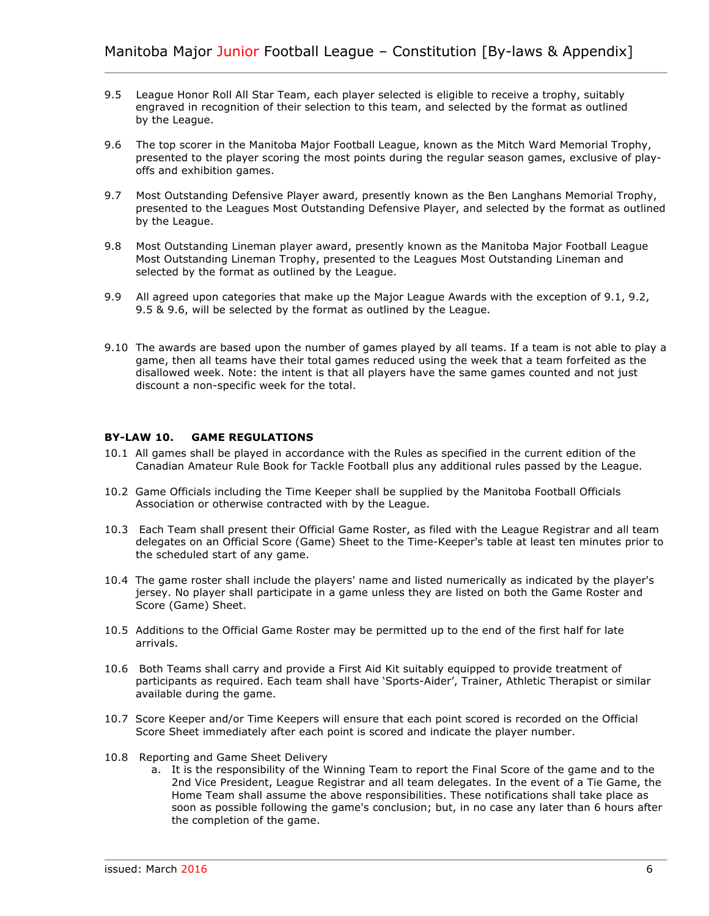- 9.5 League Honor Roll All Star Team, each player selected is eligible to receive a trophy, suitably engraved in recognition of their selection to this team, and selected by the format as outlined by the League.
- 9.6 The top scorer in the Manitoba Major Football League, known as the Mitch Ward Memorial Trophy, presented to the player scoring the most points during the regular season games, exclusive of playoffs and exhibition games.
- 9.7 Most Outstanding Defensive Player award, presently known as the Ben Langhans Memorial Trophy, presented to the Leagues Most Outstanding Defensive Player, and selected by the format as outlined by the League.
- 9.8 Most Outstanding Lineman player award, presently known as the Manitoba Major Football League Most Outstanding Lineman Trophy, presented to the Leagues Most Outstanding Lineman and selected by the format as outlined by the League.
- 9.9 All agreed upon categories that make up the Major League Awards with the exception of 9.1, 9.2, 9.5 & 9.6, will be selected by the format as outlined by the League.
- 9.10 The awards are based upon the number of games played by all teams. If a team is not able to play a game, then all teams have their total games reduced using the week that a team forfeited as the disallowed week. Note: the intent is that all players have the same games counted and not just discount a non-specific week for the total.

#### **BY-LAW 10. GAME REGULATIONS**

- 10.1 All games shall be played in accordance with the Rules as specified in the current edition of the Canadian Amateur Rule Book for Tackle Football plus any additional rules passed by the League.
- 10.2 Game Officials including the Time Keeper shall be supplied by the Manitoba Football Officials Association or otherwise contracted with by the League.
- 10.3 Each Team shall present their Official Game Roster, as filed with the League Registrar and all team delegates on an Official Score (Game) Sheet to the Time-Keeper's table at least ten minutes prior to the scheduled start of any game.
- 10.4 The game roster shall include the players' name and listed numerically as indicated by the player's jersey. No player shall participate in a game unless they are listed on both the Game Roster and Score (Game) Sheet.
- 10.5 Additions to the Official Game Roster may be permitted up to the end of the first half for late arrivals.
- 10.6 Both Teams shall carry and provide a First Aid Kit suitably equipped to provide treatment of participants as required. Each team shall have 'Sports-Aider', Trainer, Athletic Therapist or similar available during the game.
- 10.7 Score Keeper and/or Time Keepers will ensure that each point scored is recorded on the Official Score Sheet immediately after each point is scored and indicate the player number.
- 10.8 Reporting and Game Sheet Delivery
	- a. It is the responsibility of the Winning Team to report the Final Score of the game and to the 2nd Vice President, League Registrar and all team delegates. In the event of a Tie Game, the Home Team shall assume the above responsibilities. These notifications shall take place as soon as possible following the game's conclusion; but, in no case any later than 6 hours after the completion of the game.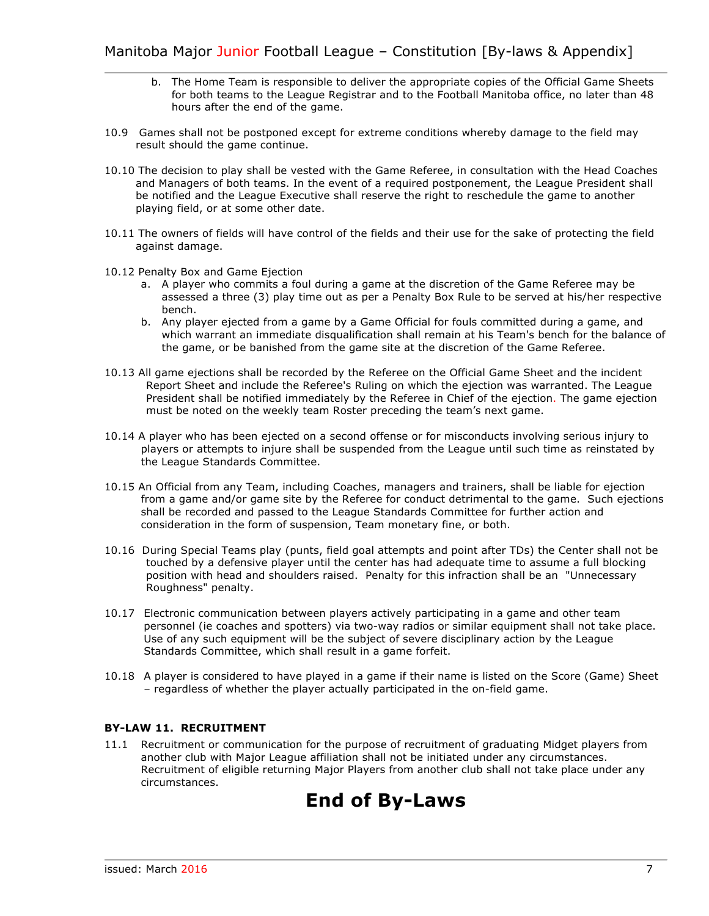- b. The Home Team is responsible to deliver the appropriate copies of the Official Game Sheets for both teams to the League Registrar and to the Football Manitoba office, no later than 48 hours after the end of the game.
- 10.9 Games shall not be postponed except for extreme conditions whereby damage to the field may result should the game continue.
- 10.10 The decision to play shall be vested with the Game Referee, in consultation with the Head Coaches and Managers of both teams. In the event of a required postponement, the League President shall be notified and the League Executive shall reserve the right to reschedule the game to another playing field, or at some other date.
- 10.11 The owners of fields will have control of the fields and their use for the sake of protecting the field against damage.
- 10.12 Penalty Box and Game Ejection
	- a. A player who commits a foul during a game at the discretion of the Game Referee may be assessed a three (3) play time out as per a Penalty Box Rule to be served at his/her respective bench.
	- b. Any player ejected from a game by a Game Official for fouls committed during a game, and which warrant an immediate disqualification shall remain at his Team's bench for the balance of the game, or be banished from the game site at the discretion of the Game Referee.
- 10.13 All game ejections shall be recorded by the Referee on the Official Game Sheet and the incident Report Sheet and include the Referee's Ruling on which the ejection was warranted. The League President shall be notified immediately by the Referee in Chief of the ejection. The game ejection must be noted on the weekly team Roster preceding the team's next game.
- 10.14 A player who has been ejected on a second offense or for misconducts involving serious injury to players or attempts to injure shall be suspended from the League until such time as reinstated by the League Standards Committee.
- 10.15 An Official from any Team, including Coaches, managers and trainers, shall be liable for ejection from a game and/or game site by the Referee for conduct detrimental to the game. Such ejections shall be recorded and passed to the League Standards Committee for further action and consideration in the form of suspension, Team monetary fine, or both.
- 10.16 During Special Teams play (punts, field goal attempts and point after TDs) the Center shall not be touched by a defensive player until the center has had adequate time to assume a full blocking position with head and shoulders raised. Penalty for this infraction shall be an "Unnecessary Roughness" penalty.
- 10.17 Electronic communication between players actively participating in a game and other team personnel (ie coaches and spotters) via two-way radios or similar equipment shall not take place. Use of any such equipment will be the subject of severe disciplinary action by the League Standards Committee, which shall result in a game forfeit.
- 10.18 A player is considered to have played in a game if their name is listed on the Score (Game) Sheet – regardless of whether the player actually participated in the on-field game.

#### **BY-LAW 11. RECRUITMENT**

11.1 Recruitment or communication for the purpose of recruitment of graduating Midget players from another club with Major League affiliation shall not be initiated under any circumstances. Recruitment of eligible returning Major Players from another club shall not take place under any circumstances.

### **End of By-Laws**